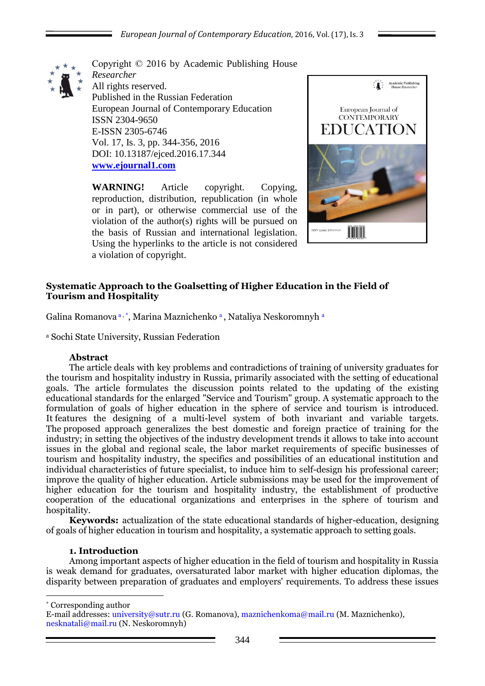

Copyright © 2016 by Academic Publishing House *Researcher* All rights reserved. Published in the Russian Federation European Journal of Contemporary Education ISSN 2304-9650 E-ISSN 2305-6746 Vol. 17, Is. 3, pp. 344-356, 2016 DOI: 10.13187/ejced.2016.17.344 **[www.ejournal1.com](http://www.ejournal1.com/)**

**WARNING!** Article copyright. Copying, reproduction, distribution, republication (in whole or in part), or otherwise commercial use of the violation of the author(s) rights will be pursued on the basis of Russian and international legislation. Using the hyperlinks to the article is not considered a violation of copyright.



## **Systematic Approach to the Goalsetting of Higher Education in the Field of Tourism and Hospitality**

Galina Romanova a, \*, Marina Maznichenko a, Nataliya Neskoromnyh a

<sup>a</sup> Sochi State University, Russian Federation

## **Abstract**

The article deals with key problems and contradictions of training of university graduates for the tourism and hospitality industry in Russia, primarily associated with the setting of educational goals. The article formulates the discussion points related to the updating of the existing educational standards for the enlarged "Service and Tourism" group. A systematic approach to the formulation of goals of higher education in the sphere of service and tourism is introduced. It features the designing of a multi-level system of both invariant and variable targets. The proposed approach generalizes the best domestic and foreign practice of training for the industry; in setting the objectives of the industry development trends it allows to take into account issues in the global and regional scale, the labor market requirements of specific businesses of tourism and hospitality industry, the specifics and possibilities of an educational institution and individual characteristics of future specialist, to induce him to self-design his professional career; improve the quality of higher education. Article submissions may be used for the improvement of higher education for the tourism and hospitality industry, the establishment of productive cooperation of the educational organizations and enterprises in the sphere of tourism and hospitality.

**Keywords:** actualization of the state educational standards of higher-education, designing of goals of higher education in tourism and hospitality, a systematic approach to setting goals.

### **1. Introduction**

Among important aspects of higher education in the field of tourism and hospitality in Russia is weak demand for graduates, oversaturated labor market with higher education diplomas, the disparity between preparation of graduates and employers' requirements. To address these issues

\* Corresponding author

1

E-mail addresses: university@sutr.ru (G. Romanova), maznichenkoma@mail.ru (M. Maznichenko), nesknatali@mail.ru (N. Neskoromnyh)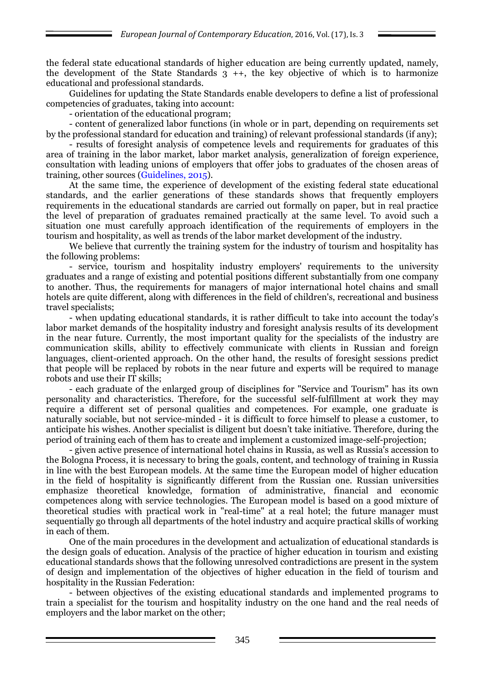the federal state educational standards of higher education are being currently updated, namely, the development of the State Standards  $3 +$ , the key objective of which is to harmonize educational and professional standards.

Guidelines for updating the State Standards enable developers to define a list of professional competencies of graduates, taking into account:

- orientation of the educational program;

- content of generalized labor functions (in whole or in part, depending on requirements set by the professional standard for education and training) of relevant professional standards (if any);

- results of foresight analysis of competence levels and requirements for graduates of this area of training in the labor market, labor market analysis, generalization of foreign experience, consultation with leading unions of employers that offer jobs to graduates of the chosen areas of training, other sources (Guidelines, 2015).

At the same time, the experience of development of the existing federal state educational standards, and the earlier generations of these standards shows that frequently employers requirements in the educational standards are carried out formally on paper, but in real practice the level of preparation of graduates remained practically at the same level. To avoid such a situation one must carefully approach identification of the requirements of employers in the tourism and hospitality, as well as trends of the labor market development of the industry.

We believe that currently the training system for the industry of tourism and hospitality has the following problems:

- service, tourism and hospitality industry employers' requirements to the university graduates and a range of existing and potential positions different substantially from one company to another. Thus, the requirements for managers of major international hotel chains and small hotels are quite different, along with differences in the field of children's, recreational and business travel specialists;

- when updating educational standards, it is rather difficult to take into account the today's labor market demands of the hospitality industry and foresight analysis results of its development in the near future. Currently, the most important quality for the specialists of the industry are communication skills, ability to effectively communicate with clients in Russian and foreign languages, client-oriented approach. On the other hand, the results of foresight sessions predict that people will be replaced by robots in the near future and experts will be required to manage robots and use their IT skills;

- each graduate of the enlarged group of disciplines for "Service and Tourism" has its own personality and characteristics. Therefore, for the successful self-fulfillment at work they may require a different set of personal qualities and competences. For example, one graduate is naturally sociable, but not service-minded - it is difficult to force himself to please a customer, to anticipate his wishes. Another specialist is diligent but doesn't take initiative. Therefore, during the period of training each of them has to create and implement a customized image-self-projection;

- given active presence of international hotel chains in Russia, as well as Russia's accession to the Bologna Process, it is necessary to bring the goals, content, and technology of training in Russia in line with the best European models. At the same time the European model of higher education in the field of hospitality is significantly different from the Russian one. Russian universities emphasize theoretical knowledge, formation of administrative, financial and economic competences along with service technologies. The European model is based on a good mixture of theoretical studies with practical work in "real-time" at a real hotel; the future manager must sequentially go through all departments of the hotel industry and acquire practical skills of working in each of them.

One of the main procedures in the development and actualization of educational standards is the design goals of education. Analysis of the practice of higher education in tourism and existing educational standards shows that the following unresolved contradictions are present in the system of design and implementation of the objectives of higher education in the field of tourism and hospitality in the Russian Federation:

- between objectives of the existing educational standards and implemented programs to train a specialist for the tourism and hospitality industry on the one hand and the real needs of employers and the labor market on the other;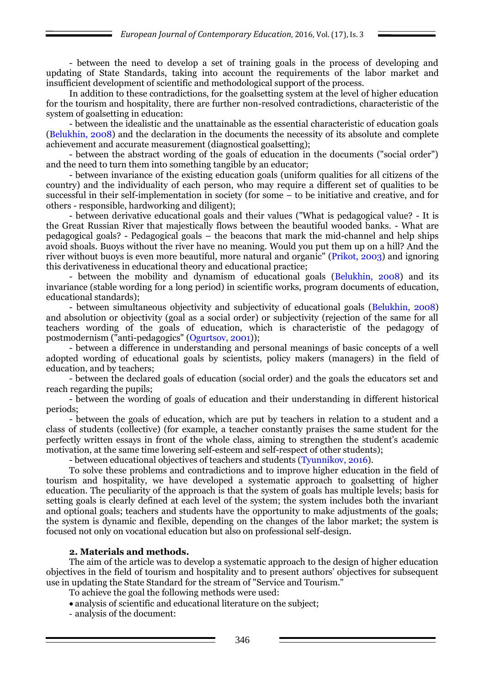- between the need to develop a set of training goals in the process of developing and updating of State Standards, taking into account the requirements of the labor market and insufficient development of scientific and methodological support of the process.

In addition to these contradictions, for the goalsetting system at the level of higher education for the tourism and hospitality, there are further non-resolved contradictions, characteristic of the system of goalsetting in education:

- between the idealistic and the unattainable as the essential characteristic of education goals (Belukhin, 2008) and the declaration in the documents the necessity of its absolute and complete achievement and accurate measurement (diagnostical goalsetting);

- between the abstract wording of the goals of education in the documents ("social order") and the need to turn them into something tangible by an educator;

- between invariance of the existing education goals (uniform qualities for all citizens of the country) and the individuality of each person, who may require a different set of qualities to be successful in their self-implementation in society (for some – to be initiative and creative, and for others - responsible, hardworking and diligent);

- between derivative educational goals and their values ("What is pedagogical value? - It is the Great Russian River that majestically flows between the beautiful wooded banks. - What are pedagogical goals? - Pedagogical goals – the beacons that mark the mid-channel and help ships avoid shoals. Buoys without the river have no meaning. Would you put them up on a hill? And the river without buoys is even more beautiful, more natural and organic" (Prikot, 2003) and ignoring this derivativeness in educational theory and educational practice;

- between the mobility and dynamism of educational goals (Belukhin, 2008) and its invariance (stable wording for a long period) in scientific works, program documents of education, educational standards);

- between simultaneous objectivity and subjectivity of educational goals (Belukhin, 2008) and absolution or objectivity (goal as a social order) or subjectivity (rejection of the same for all teachers wording of the goals of education, which is characteristic of the pedagogy of postmodernism ("anti-pedagogics" (Ogurtsov, 2001));

- between a difference in understanding and personal meanings of basic concepts of a well adopted wording of educational goals by scientists, policy makers (managers) in the field of education, and by teachers;

- between the declared goals of education (social order) and the goals the educators set and reach regarding the pupils;

- between the wording of goals of education and their understanding in different historical periods;

- between the goals of education, which are put by teachers in relation to a student and a class of students (collective) (for example, a teacher constantly praises the same student for the perfectly written essays in front of the whole class, aiming to strengthen the student's academic motivation, at the same time lowering self-esteem and self-respect of other students);

- between educational objectives of teachers and students (Tyunnikov, 2016).

To solve these problems and contradictions and to improve higher education in the field of tourism and hospitality, we have developed a systematic approach to goalsetting of higher education. The peculiarity of the approach is that the system of goals has multiple levels; basis for setting goals is clearly defined at each level of the system; the system includes both the invariant and optional goals; teachers and students have the opportunity to make adjustments of the goals; the system is dynamic and flexible, depending on the changes of the labor market; the system is focused not only on vocational education but also on professional self-design.

### **2. Materials and methods.**

The aim of the article was to develop a systematic approach to the design of higher education objectives in the field of tourism and hospitality and to present authors' objectives for subsequent use in updating the State Standard for the stream of "Service and Tourism."

To achieve the goal the following methods were used:

- analysis of scientific and educational literature on the subject:
- analysis of the document: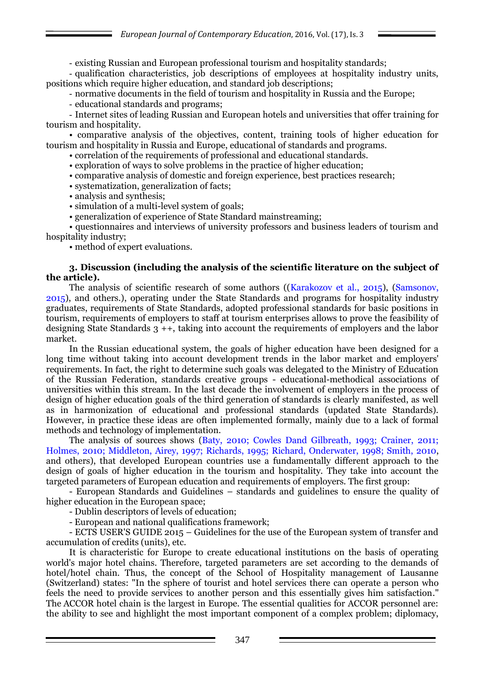*European Journal of Contemporary Education*, 2016, Vol. (17), Is. 3

- existing Russian and European professional tourism and hospitality standards;

- qualification characteristics, job descriptions of employees at hospitality industry units, positions which require higher education, and standard job descriptions;

- normative documents in the field of tourism and hospitality in Russia and the Europe;

- educational standards and programs;

- Internet sites of leading Russian and European hotels and universities that offer training for tourism and hospitality.

• comparative analysis of the objectives, content, training tools of higher education for tourism and hospitality in Russia and Europe, educational of standards and programs.

• correlation of the requirements of professional and educational standards.

• exploration of ways to solve problems in the practice of higher education;

• comparative analysis of domestic and foreign experience, best practices research;

• systematization, generalization of facts;

• analysis and synthesis;

• simulation of a multi-level system of goals;

• generalization of experience of State Standard mainstreaming;

• questionnaires and interviews of university professors and business leaders of tourism and hospitality industry;

• method of expert evaluations.

#### **3. Discussion (including the analysis of the scientific literature on the subject of the article).**

The analysis of scientific research of some authors ((Karakozov et al., 2015), (Samsonov, 2015), and others.), operating under the State Standards and programs for hospitality industry graduates, requirements of State Standards, adopted professional standards for basic positions in tourism, requirements of employers to staff at tourism enterprises allows to prove the feasibility of designing State Standards 3 ++, taking into account the requirements of employers and the labor market.

In the Russian educational system, the goals of higher education have been designed for a long time without taking into account development trends in the labor market and employers' requirements. In fact, the right to determine such goals was delegated to the Ministry of Education of the Russian Federation, standards creative groups - educational-methodical associations of universities within this stream. In the last decade the involvement of employers in the process of design of higher education goals of the third generation of standards is clearly manifested, as well as in harmonization of educational and professional standards (updated State Standards). However, in practice these ideas are often implemented formally, mainly due to a lack of formal methods and technology of implementation.

The analysis of sources shows (Baty, 2010; Cowles Dand Gilbreath, 1993; Crainer, 2011; Holmes, 2010; Middleton, Airey, 1997; Richards, 1995; Richard, Onderwater, 1998; Smith, 2010, and others), that developed European countries use a fundamentally different approach to the design of goals of higher education in the tourism and hospitality. They take into account the targeted parameters of European education and requirements of employers. The first group:

- European Standards and Guidelines – standards and guidelines to ensure the quality of higher education in the European space;

- Dublin descriptors of levels of education;

- European and national qualifications framework;

- ECTS USER'S GUIDE 2015 – Guidelines for the use of the European system of transfer and accumulation of credits (units), etc.

It is characteristic for Europe to create educational institutions on the basis of operating world's major hotel chains. Therefore, targeted parameters are set according to the demands of hotel/hotel chain. Thus, the concept of the School of Hospitality management of Lausanne (Switzerland) states: "In the sphere of tourist and hotel services there can operate a person who feels the need to provide services to another person and this essentially gives him satisfaction." The ACCOR hotel chain is the largest in Europe. The essential qualities for ACCOR personnel are: the ability to see and highlight the most important component of a complex problem; diplomacy,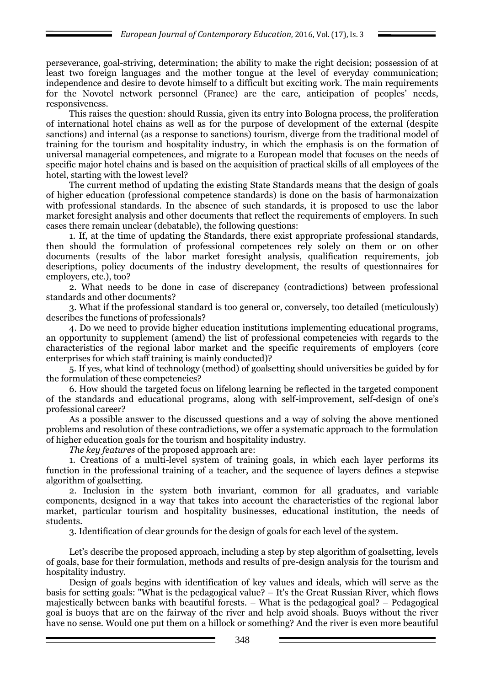perseverance, goal-striving, determination; the ability to make the right decision; possession of at least two foreign languages and the mother tongue at the level of everyday communication; independence and desire to devote himself to a difficult but exciting work. The main requirements for the Novotel network personnel (France) are the care, anticipation of peoples' needs, responsiveness.

This raises the question: should Russia, given its entry into Bologna process, the proliferation of international hotel chains as well as for the purpose of development of the external (despite sanctions) and internal (as a response to sanctions) tourism, diverge from the traditional model of training for the tourism and hospitality industry, in which the emphasis is on the formation of universal managerial competences, and migrate to a European model that focuses on the needs of specific major hotel chains and is based on the acquisition of practical skills of all employees of the hotel, starting with the lowest level?

The current method of updating the existing State Standards means that the design of goals of higher education (professional competence standards) is done on the basis of harmonaization with professional standards. In the absence of such standards, it is proposed to use the labor market foresight analysis and other documents that reflect the requirements of employers. In such cases there remain unclear (debatable), the following questions:

1. If, at the time of updating the Standards, there exist appropriate professional standards, then should the formulation of professional competences rely solely on them or on other documents (results of the labor market foresight analysis, qualification requirements, job descriptions, policy documents of the industry development, the results of questionnaires for employers, etc.), too?

2. What needs to be done in case of discrepancy (contradictions) between professional standards and other documents?

3. What if the professional standard is too general or, conversely, too detailed (meticulously) describes the functions of professionals?

4. Do we need to provide higher education institutions implementing educational programs, an opportunity to supplement (amend) the list of professional competencies with regards to the characteristics of the regional labor market and the specific requirements of employers (core enterprises for which staff training is mainly conducted)?

5. If yes, what kind of technology (method) of goalsetting should universities be guided by for the formulation of these competencies?

6. How should the targeted focus on lifelong learning be reflected in the targeted component of the standards and educational programs, along with self-improvement, self-design of one's professional career?

As a possible answer to the discussed questions and a way of solving the above mentioned problems and resolution of these contradictions, we offer a systematic approach to the formulation of higher education goals for the tourism and hospitality industry.

*The key features* of the proposed approach are:

1. Creations of a multi-level system of training goals, in which each layer performs its function in the professional training of a teacher, and the sequence of layers defines a stepwise algorithm of goalsetting.

2. Inclusion in the system both invariant, common for all graduates, and variable components, designed in a way that takes into account the characteristics of the regional labor market, particular tourism and hospitality businesses, educational institution, the needs of students.

3. Identification of clear grounds for the design of goals for each level of the system.

Let's describe the proposed approach, including a step by step algorithm of goalsetting, levels of goals, base for their formulation, methods and results of pre-design analysis for the tourism and hospitality industry.

Design of goals begins with identification of key values and ideals, which will serve as the basis for setting goals: "What is the pedagogical value? – It's the Great Russian River, which flows majestically between banks with beautiful forests. – What is the pedagogical goal? – Pedagogical goal is buoys that are on the fairway of the river and help avoid shoals. Buoys without the river have no sense. Would one put them on a hillock or something? And the river is even more beautiful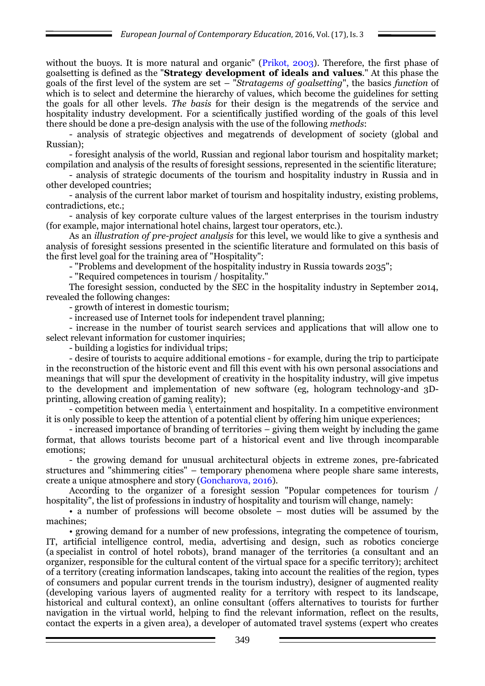without the buoys. It is more natural and organic" (Prikot, 2003). Therefore, the first phase of goalsetting is defined as the "**Strategy development of ideals and values**." At this phase the goals of the first level of the system are set – "*Stratagems of goalsetting*", the basics *function* of which is to select and determine the hierarchy of values, which become the guidelines for setting the goals for all other levels. *The basis* for their design is the megatrends of the service and hospitality industry development. For a scientifically justified wording of the goals of this level there should be done a pre-design analysis with the use of the following *methods*:

- analysis of strategic objectives and megatrends of development of society (global and Russian);

- foresight analysis of the world, Russian and regional labor tourism and hospitality market; compilation and analysis of the results of foresight sessions, represented in the scientific literature;

- analysis of strategic documents of the tourism and hospitality industry in Russia and in other developed countries;

- analysis of the current labor market of tourism and hospitality industry, existing problems, contradictions, etc.;

- analysis of key corporate culture values of the largest enterprises in the tourism industry (for example, major international hotel chains, largest tour operators, etc.).

As an *illustration of pre-project analysis* for this level, we would like to give a synthesis and analysis of foresight sessions presented in the scientific literature and formulated on this basis of the first level goal for the training area of "Hospitality":

- "Problems and development of the hospitality industry in Russia towards 2035";

- "Required competences in tourism / hospitality."

The foresight session, conducted by the SEC in the hospitality industry in September 2014, revealed the following changes:

- growth of interest in domestic tourism;

- increased use of Internet tools for independent travel planning;

- increase in the number of tourist search services and applications that will allow one to select relevant information for customer inquiries;

- building a logistics for individual trips;

- desire of tourists to acquire additional emotions - for example, during the trip to participate in the reconstruction of the historic event and fill this event with his own personal associations and meanings that will spur the development of creativity in the hospitality industry, will give impetus to the development and implementation of new software (eg, hologram technology-and 3Dprinting, allowing creation of gaming reality);

- competition between media \ entertainment and hospitality. In a competitive environment it is only possible to keep the attention of a potential client by offering him unique experiences;

- increased importance of branding of territories – giving them weight by including the game format, that allows tourists become part of a historical event and live through incomparable emotions;

- the growing demand for unusual architectural objects in extreme zones, pre-fabricated structures and "shimmering cities" – temporary phenomena where people share same interests, create a unique atmosphere and story (Goncharova, 2016).

According to the organizer of a foresight session "Popular competences for tourism / hospitality", the list of professions in industry of hospitality and tourism will change, namely:

• a number of professions will become obsolete – most duties will be assumed by the machines;

• growing demand for a number of new professions, integrating the competence of tourism, IT, artificial intelligence control, media, advertising and design, such as robotics concierge (a specialist in control of hotel robots), brand manager of the territories (a consultant and an organizer, responsible for the cultural content of the virtual space for a specific territory); architect of a territory (creating information landscapes, taking into account the realities of the region, types of consumers and popular current trends in the tourism industry), designer of augmented reality (developing various layers of augmented reality for a territory with respect to its landscape, historical and cultural context), an online consultant (offers alternatives to tourists for further navigation in the virtual world, helping to find the relevant information, reflect on the results, contact the experts in a given area), a developer of automated travel systems (expert who creates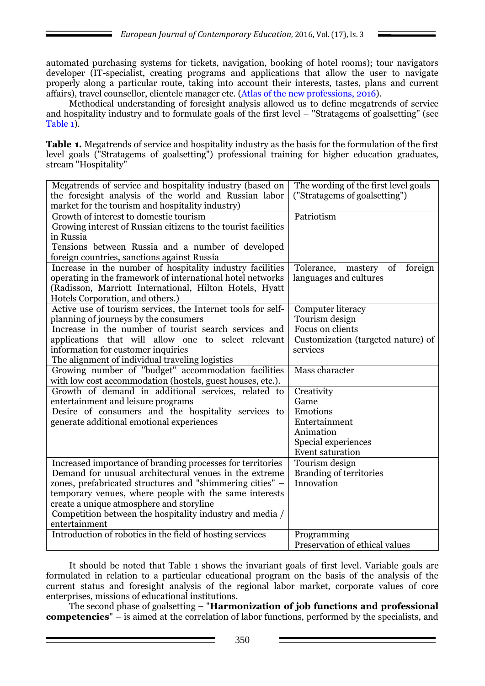automated purchasing systems for tickets, navigation, booking of hotel rooms); tour navigators developer (IT-specialist, creating programs and applications that allow the user to navigate properly along a particular route, taking into account their interests, tastes, plans and current affairs), travel counsellor, clientele manager etc. (Atlas of the new professions, 2016).

Methodical understanding of foresight analysis allowed us to define megatrends of service and hospitality industry and to formulate goals of the first level – "Stratagems of goalsetting" (see Table 1).

**Table 1.** Megatrends of service and hospitality industry as the basis for the formulation of the first level goals ("Stratagems of goalsetting") professional training for higher education graduates, stream "Hospitality"

| Megatrends of service and hospitality industry (based on       | The wording of the first level goals   |
|----------------------------------------------------------------|----------------------------------------|
| the foresight analysis of the world and Russian labor          | ("Stratagems of goalsetting")          |
| market for the tourism and hospitality industry)               |                                        |
| Growth of interest to domestic tourism                         | Patriotism                             |
| Growing interest of Russian citizens to the tourist facilities |                                        |
| in Russia                                                      |                                        |
| Tensions between Russia and a number of developed              |                                        |
| foreign countries, sanctions against Russia                    |                                        |
| Increase in the number of hospitality industry facilities      | of<br>foreign<br>Tolerance,<br>mastery |
| operating in the framework of international hotel networks     | languages and cultures                 |
| (Radisson, Marriott International, Hilton Hotels, Hyatt        |                                        |
| Hotels Corporation, and others.)                               |                                        |
| Active use of tourism services, the Internet tools for self-   | Computer literacy                      |
| planning of journeys by the consumers                          | Tourism design                         |
| Increase in the number of tourist search services and          | Focus on clients                       |
| applications that will allow one to select relevant            | Customization (targeted nature) of     |
| information for customer inquiries                             | services                               |
| The alignment of individual traveling logistics                |                                        |
| Growing number of "budget" accommodation facilities            | Mass character                         |
| with low cost accommodation (hostels, guest houses, etc.).     |                                        |
| Growth of demand in additional services, related to            | Creativity                             |
| entertainment and leisure programs                             | Game                                   |
| Desire of consumers and the hospitality services to            | Emotions                               |
| generate additional emotional experiences                      | Entertainment                          |
|                                                                | Animation                              |
|                                                                | Special experiences                    |
|                                                                | Event saturation                       |
| Increased importance of branding processes for territories     | Tourism design                         |
| Demand for unusual architectural venues in the extreme         | <b>Branding of territories</b>         |
| zones, prefabricated structures and "shimmering cities" -      | Innovation                             |
| temporary venues, where people with the same interests         |                                        |
| create a unique atmosphere and storyline                       |                                        |
| Competition between the hospitality industry and media /       |                                        |
| entertainment                                                  |                                        |
| Introduction of robotics in the field of hosting services      | Programming                            |
|                                                                | Preservation of ethical values         |

It should be noted that Table 1 shows the invariant goals of first level. Variable goals are formulated in relation to a particular educational program on the basis of the analysis of the current status and foresight analysis of the regional labor market, corporate values of core enterprises, missions of educational institutions.

The second phase of goalsetting – "**Harmonization of job functions and professional competencies**" – is aimed at the correlation of labor functions, performed by the specialists, and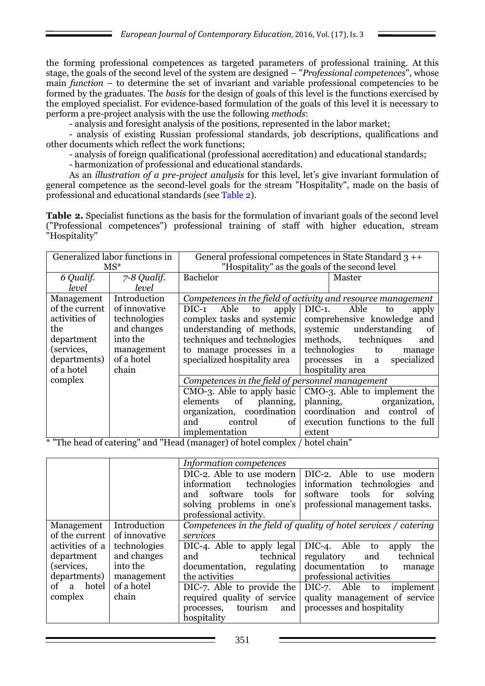the forming professional competences as targeted parameters of professional training. At this stage, the goals of the second level of the system are designed – "*Professional competences*", whose main *function* – to determine the set of invariant and variable professional competencies to be formed by the graduates. The *basis* for the design of goals of this level is the functions exercised by the employed specialist. For evidence-based formulation of the goals of this level it is necessary to perform a pre-project analysis with the use the following *methods*:

- analysis and foresight analysis of the positions, represented in the labor market;

- analysis of existing Russian professional standards, job descriptions, qualifications and other documents which reflect the work functions;

- analysis of foreign qualificational (professional accreditation) and educational standards;

- harmonization of professional and educational standards.

As an *illustration of a pre-project analysis* for this level, let's give invariant formulation of general competence as the second-level goals for the stream "Hospitality", made on the basis of professional and educational standards (see Table 2).

**Table 2.** Specialist functions as the basis for the formulation of invariant goals of the second level ("Professional competences") professional training of staff with higher education, stream "Hospitality"

|                                                                                     | Generalized labor functions in |                                                              | General professional competences in State Standard 3 ++ |  |  |
|-------------------------------------------------------------------------------------|--------------------------------|--------------------------------------------------------------|---------------------------------------------------------|--|--|
|                                                                                     | $MS^*$                         |                                                              | "Hospitality" as the goals of the second level          |  |  |
| 6 Qualif.                                                                           | 7-8 Qualif.                    | <b>Bachelor</b>                                              | Master                                                  |  |  |
| level                                                                               | level                          |                                                              |                                                         |  |  |
| Management                                                                          | Introduction                   | Competences in the field of activity and resource management |                                                         |  |  |
| of the current                                                                      | of innovative                  | Able<br>$DIC-1$<br>apply<br>to                               | Able<br>$DIC-1.$<br>apply<br>to                         |  |  |
| activities of                                                                       | technologies                   | complex tasks and systemic                                   | comprehensive knowledge<br>and                          |  |  |
| the                                                                                 | and changes                    | understanding of methods,                                    | understanding<br>systemic<br>of                         |  |  |
| department                                                                          | into the                       | techniques and technologies                                  | techniques<br>methods,<br>and                           |  |  |
| (services,                                                                          | management                     | to manage processes in a                                     | technologies<br>to<br>manage                            |  |  |
| departments)                                                                        | of a hotel                     | specialized hospitality area                                 | specialized<br>processes<br>in<br>a                     |  |  |
| of a hotel                                                                          | chain                          |                                                              | hospitality area                                        |  |  |
| complex                                                                             |                                | Competences in the field of personnel management             |                                                         |  |  |
|                                                                                     |                                | $CMO-3$ . Able to apply basic                                | CMO-3. Able to implement the                            |  |  |
|                                                                                     |                                | of<br>planning,<br>elements                                  | planning,<br>organization,                              |  |  |
|                                                                                     |                                | coordination<br>organization,                                | coordination<br>and control<br>of                       |  |  |
|                                                                                     |                                | of<br>control<br>and                                         | execution functions to the full                         |  |  |
| $\mathbf{r}$ $\mathbf{r}$ $\mathbf{r}$ $\mathbf{r}$<br>$x$ , $Hrr1$<br>$\mathbf{L}$ | $\mathbf{H}$<br>1.077          | implementation<br>$\sqrt{1}$<br>$\mathbf{I}$<br>$\mathbf{1}$ | extent<br>11.11.1                                       |  |  |

"The head of catering" and "Head (manager) of hotel complex / hotel chain'

|                 |               | Information competences                                          |                                                          |  |  |  |
|-----------------|---------------|------------------------------------------------------------------|----------------------------------------------------------|--|--|--|
|                 |               |                                                                  | DIC-2. Able to use modern   DIC-2. Able to use modern    |  |  |  |
|                 |               | technologies<br>information                                      | information technologies and                             |  |  |  |
|                 |               | software tools for<br>and                                        | software<br>tools for solving                            |  |  |  |
|                 |               |                                                                  | solving problems in one's professional management tasks. |  |  |  |
|                 |               | professional activity.                                           |                                                          |  |  |  |
| Management      | Introduction  | Competences in the field of quality of hotel services / catering |                                                          |  |  |  |
| of the current  | of innovative | services                                                         |                                                          |  |  |  |
| activities of a | technologies  | DIC-4. Able to apply legal                                       | DIC-4. Able to<br>the<br>apply                           |  |  |  |
| department      | and changes   | technical<br>and                                                 | regulatory<br>technical<br>and                           |  |  |  |
| (services,      | into the      | documentation, regulating documentation                          | to<br>manage                                             |  |  |  |
| departments)    | management    | the activities                                                   | professional activities                                  |  |  |  |
| of a hotel      | of a hotel    | DIC-7. Able to provide the                                       | DIC-7. Able to<br>implement                              |  |  |  |
| complex         | chain         | required quality of service                                      | quality management of service                            |  |  |  |
|                 |               | and  <br>tourism<br>processes,                                   | processes and hospitality                                |  |  |  |
|                 |               | hospitality                                                      |                                                          |  |  |  |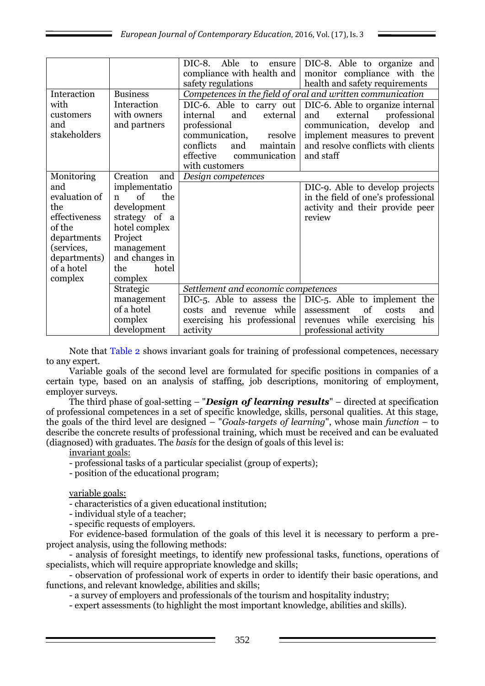|               |                 | DIC-8.<br>Able<br>to<br>ensure<br>compliance with health and<br>safety regulations | DIC-8. Able to organize and<br>monitor compliance with the<br>health and safety requirements |  |
|---------------|-----------------|------------------------------------------------------------------------------------|----------------------------------------------------------------------------------------------|--|
| Interaction   | <b>Business</b> |                                                                                    | Competences in the field of oral and written communication                                   |  |
| with          | Interaction     | DIC-6. Able to carry out                                                           | DIC-6. Able to organize internal                                                             |  |
| customers     | with owners     | external<br>internal<br>and                                                        | and<br>external<br>professional                                                              |  |
| and           | and partners    | professional                                                                       | communication,<br>develop<br>and                                                             |  |
| stakeholders  |                 | communication,<br>resolve                                                          | implement measures to prevent                                                                |  |
|               |                 | conflicts<br>maintain<br>and                                                       | and resolve conflicts with clients                                                           |  |
|               |                 | effective<br>communication                                                         | and staff                                                                                    |  |
|               |                 | with customers                                                                     |                                                                                              |  |
| Monitoring    | Creation<br>and | Design competences                                                                 |                                                                                              |  |
| and           | implementatio   |                                                                                    | DIC-9. Able to develop projects                                                              |  |
| evaluation of | of<br>the<br>n  |                                                                                    | in the field of one's professional                                                           |  |
| the           | development     |                                                                                    | activity and their provide peer                                                              |  |
| effectiveness | strategy of a   |                                                                                    | review                                                                                       |  |
| of the        | hotel complex   |                                                                                    |                                                                                              |  |
| departments   | Project         |                                                                                    |                                                                                              |  |
| (services,    | management      |                                                                                    |                                                                                              |  |
| departments)  | and changes in  |                                                                                    |                                                                                              |  |
| of a hotel    | hotel<br>the    |                                                                                    |                                                                                              |  |
| complex       | complex         |                                                                                    |                                                                                              |  |
|               | Strategic       | Settlement and economic competences                                                |                                                                                              |  |
|               | management      |                                                                                    | DIC-5. Able to assess the $\vert$ DIC-5. Able to implement the                               |  |
|               | of a hotel      | costs and revenue while                                                            | of<br>assessment<br>costs<br>and                                                             |  |
|               | complex         | exercising his professional                                                        | revenues while exercising<br>his                                                             |  |
|               | development     | activity                                                                           | professional activity                                                                        |  |

Note that Table 2 shows invariant goals for training of professional competences, necessary to any expert.

Variable goals of the second level are formulated for specific positions in companies of a certain type, based on an analysis of staffing, job descriptions, monitoring of employment, employer surveys.

The third phase of goal-setting – "*Design of learning results*" – directed at specification of professional competences in a set of specific knowledge, skills, personal qualities. At this stage, the goals of the third level are designed – "*Goals-targets of learning*", whose main *function* – to describe the concrete results of professional training, which must be received and can be evaluated (diagnosed) with graduates. The *basis* for the design of goals of this level is:

invariant goals:

- professional tasks of a particular specialist (group of experts);

- position of the educational program;

variable goals:

- characteristics of a given educational institution;

- individual style of a teacher;

- specific requests of employers.

For evidence-based formulation of the goals of this level it is necessary to perform a preproject analysis, using the following methods:

- analysis of foresight meetings, to identify new professional tasks, functions, operations of specialists, which will require appropriate knowledge and skills;

- observation of professional work of experts in order to identify their basic operations, and functions, and relevant knowledge, abilities and skills;

- a survey of employers and professionals of the tourism and hospitality industry;

- expert assessments (to highlight the most important knowledge, abilities and skills).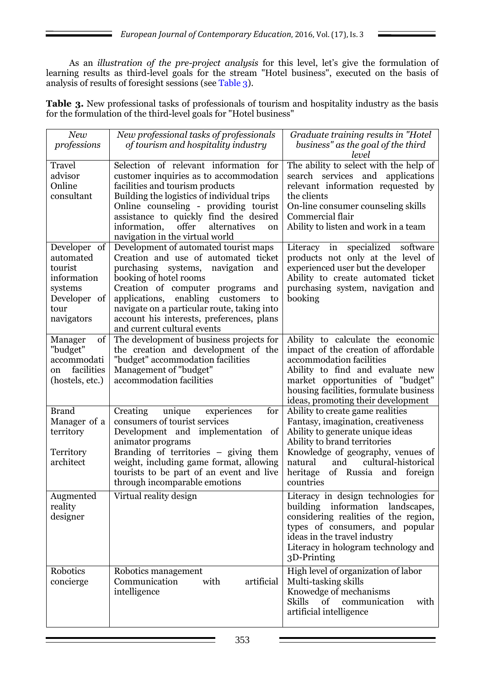As an *illustration of the pre-project analysis* for this level, let's give the formulation of learning results as third-level goals for the stream "Hotel business", executed on the basis of analysis of results of foresight sessions (see Table 3).

**Table 3.** New professional tasks of professionals of tourism and hospitality industry as the basis for the formulation of the third-level goals for "Hotel business"

| New              | New professional tasks of professionals                                                  | Graduate training results in "Hotel          |
|------------------|------------------------------------------------------------------------------------------|----------------------------------------------|
| professions      | of tourism and hospitality industry                                                      | business" as the goal of the third           |
|                  |                                                                                          | level                                        |
| Travel           | Selection of relevant information for                                                    | The ability to select with the help of       |
| advisor          | customer inquiries as to accommodation                                                   | search services and<br>applications          |
| Online           | facilities and tourism products                                                          | relevant information requested by            |
| consultant       | Building the logistics of individual trips                                               | the clients                                  |
|                  | Online counseling - providing tourist                                                    | On-line consumer counseling skills           |
|                  | assistance to quickly find the desired                                                   | Commercial flair                             |
|                  | information,<br>offer<br>alternatives<br>on                                              | Ability to listen and work in a team         |
|                  | navigation in the virtual world                                                          |                                              |
| Developer of     | Development of automated tourist maps                                                    | Literacy in specialized software             |
| automated        | Creation and use of automated ticket                                                     | products not only at the level of            |
| tourist          | purchasing systems,<br>navigation<br>and                                                 | experienced user but the developer           |
| information      | booking of hotel rooms                                                                   | Ability to create automated ticket           |
| systems          | Creation of computer programs<br>and                                                     | purchasing system, navigation and            |
| Developer of     | enabling<br>applications,<br>customers<br>to                                             | booking                                      |
| tour             | navigate on a particular route, taking into<br>account his interests, preferences, plans |                                              |
| navigators       | and current cultural events                                                              |                                              |
| of<br>Manager    | The development of business projects for                                                 | Ability to calculate the economic            |
| "budget"         | the creation and development of the                                                      | impact of the creation of affordable         |
| accommodati      | "budget" accommodation facilities                                                        | accommodation facilities                     |
| facilities<br>on | Management of "budget"                                                                   | Ability to find and evaluate new             |
| (hostels, etc.)  | accommodation facilities                                                                 | market opportunities of "budget"             |
|                  |                                                                                          | housing facilities, formulate business       |
|                  |                                                                                          | ideas, promoting their development           |
| <b>Brand</b>     | Creating<br>unique<br>experiences<br>for                                                 | Ability to create game realities             |
| Manager of a     | consumers of tourist services                                                            | Fantasy, imagination, creativeness           |
| territory        | Development and<br>implementation<br>of                                                  | Ability to generate unique ideas             |
|                  | animator programs                                                                        | Ability to brand territories                 |
| Territory        | Branding of territories - giving them                                                    | Knowledge of geography, venues of            |
| architect        | weight, including game format, allowing                                                  | cultural-historical<br>natural<br>and        |
|                  | tourists to be part of an event and live                                                 | heritage<br>of Russia<br>and foreign         |
|                  | through incomparable emotions                                                            | countries                                    |
| Augmented        | Virtual reality design                                                                   | Literacy in design technologies for          |
| reality          |                                                                                          | building information landscapes,             |
| designer         |                                                                                          | considering realities of the region,         |
|                  |                                                                                          | types of consumers, and popular              |
|                  |                                                                                          | ideas in the travel industry                 |
|                  |                                                                                          | Literacy in hologram technology and          |
|                  |                                                                                          | 3D-Printing                                  |
| Robotics         | Robotics management                                                                      | High level of organization of labor          |
| concierge        | Communication<br>artificial<br>with                                                      | Multi-tasking skills                         |
|                  | intelligence                                                                             | Knowedge of mechanisms                       |
|                  |                                                                                          | of<br><b>Skills</b><br>communication<br>with |
|                  |                                                                                          | artificial intelligence                      |
|                  |                                                                                          |                                              |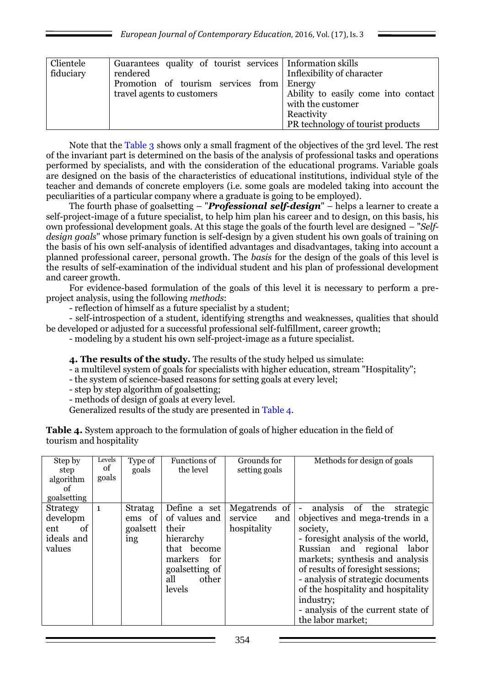| Clientele<br>fiduciary | Guarantees quality of tourist services Information skills<br>rendered<br>Promotion of tourism services from Energy<br>travel agents to customers | Inflexibility of character<br>Ability to easily come into contact |
|------------------------|--------------------------------------------------------------------------------------------------------------------------------------------------|-------------------------------------------------------------------|
|                        |                                                                                                                                                  | with the customer<br>Reactivity                                   |
|                        |                                                                                                                                                  | PR technology of tourist products                                 |

Note that the Table 3 shows only a small fragment of the objectives of the 3rd level. The rest of the invariant part is determined on the basis of the analysis of professional tasks and operations performed by specialists, and with the consideration of the educational programs. Variable goals are designed on the basis of the characteristics of educational institutions, individual style of the teacher and demands of concrete employers (i.e. some goals are modeled taking into account the peculiarities of a particular company where a graduate is going to be employed).

The fourth phase of goalsetting – "*Professional self-design*" – helps a learner to create a self-project-image of a future specialist, to help him plan his career and to design, on this basis, his own professional development goals. At this stage the goals of the fourth level are designed – "*Selfdesign goals*" whose primary function is self-design by a given student his own goals of training on the basis of his own self-analysis of identified advantages and disadvantages, taking into account a planned professional career, personal growth. The *basis* for the design of the goals of this level is the results of self-examination of the individual student and his plan of professional development and career growth.

For evidence-based formulation of the goals of this level it is necessary to perform a preproject analysis, using the following *methods*:

- reflection of himself as a future specialist by a student;

- self-introspection of a student, identifying strengths and weaknesses, qualities that should be developed or adjusted for a successful professional self-fulfillment, career growth;

- modeling by a student his own self-project-image as a future specialist.

**4. The results of the study.** The results of the study helped us simulate:

- a multilevel system of goals for specialists with higher education, stream "Hospitality";
- the system of science-based reasons for setting goals at every level;
- step by step algorithm of goalsetting;

- methods of design of goals at every level.

Generalized results of the study are presented in Table 4.

**Table 4.** System approach to the formulation of goals of higher education in the field of tourism and hospitality

| Step by<br>step<br>algorithm<br>of<br>goalsetting                | Levels<br>of<br>goals | Type of<br>goals                                        | Functions of<br>the level                                                                                                         | Grounds for<br>setting goals                   | Methods for design of goals                                                                                                                                                                                                                                                                                                                                                                            |
|------------------------------------------------------------------|-----------------------|---------------------------------------------------------|-----------------------------------------------------------------------------------------------------------------------------------|------------------------------------------------|--------------------------------------------------------------------------------------------------------------------------------------------------------------------------------------------------------------------------------------------------------------------------------------------------------------------------------------------------------------------------------------------------------|
| <b>Strategy</b><br>developm<br>of<br>ent<br>ideals and<br>values | $\mathbf{1}$          | <b>Stratag</b><br>ems of<br>goalsett<br><sub>1</sub> ng | Define a set<br>of values and<br>their<br>hierarchy<br>that become<br>markers<br>for<br>goal setting of<br>all<br>other<br>levels | Megatrends of<br>service<br>and<br>hospitality | analysis of the<br>strategic<br>$\overline{\phantom{a}}$<br>objectives and mega-trends in a<br>society,<br>- foresight analysis of the world,<br>Russian and regional labor<br>markets; synthesis and analysis<br>of results of foresight sessions;<br>- analysis of strategic documents<br>of the hospitality and hospitality<br>industry;<br>- analysis of the current state of<br>the labor market; |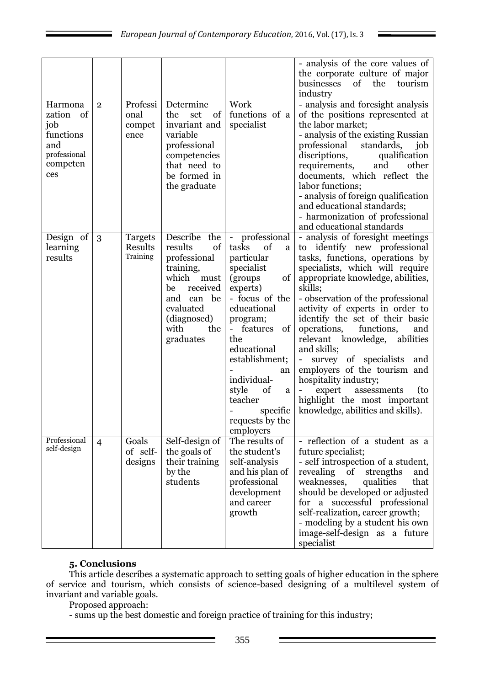| Harmona<br>of<br>zation<br>job<br>functions<br>and<br>professional<br>competen<br>ces | $\overline{2}$ | Professi<br>onal<br>compet<br>ence    | Determine<br>the<br>set<br>of<br>invariant and<br>variable<br>professional<br>competencies<br>that need to<br>be formed in<br>the graduate                          | Work<br>functions of a<br>specialist                                                                                                                                                                                                                                                                             | - analysis of the core values of<br>the corporate culture of major<br>businesses of the<br>tourism<br>industry<br>- analysis and foresight analysis<br>of the positions represented at<br>the labor market;<br>- analysis of the existing Russian<br>professional<br>standards,<br>job<br>qualification<br>discriptions,<br>and<br>other<br>requirements,<br>documents, which reflect the<br>labor functions;<br>- analysis of foreign qualification<br>and educational standards;<br>- harmonization of professional<br>and educational standards                                       |
|---------------------------------------------------------------------------------------|----------------|---------------------------------------|---------------------------------------------------------------------------------------------------------------------------------------------------------------------|------------------------------------------------------------------------------------------------------------------------------------------------------------------------------------------------------------------------------------------------------------------------------------------------------------------|------------------------------------------------------------------------------------------------------------------------------------------------------------------------------------------------------------------------------------------------------------------------------------------------------------------------------------------------------------------------------------------------------------------------------------------------------------------------------------------------------------------------------------------------------------------------------------------|
| Design of<br>learning<br>results                                                      | 3              | <b>Targets</b><br>Results<br>Training | Describe the<br>results<br>of<br>professional<br>training,<br>which<br>must<br>received<br>be<br>and can be<br>evaluated<br>(diagnosed)<br>with<br>the<br>graduates | - professional<br>tasks<br>of<br>a<br>particular<br>specialist<br>of<br>(groups)<br>experts)<br>- focus of the<br>educational<br>program;<br>- features<br><sub>of</sub><br>the<br>educational<br>establishment;<br>an<br>individual-<br>style<br>of<br>a<br>teacher<br>specific<br>requests by the<br>employers | - analysis of foresight meetings<br>to identify new professional<br>tasks, functions, operations by<br>specialists, which will require<br>appropriate knowledge, abilities,<br>skills;<br>- observation of the professional<br>activity of experts in order to<br>identify the set of their basic<br>functions,<br>operations,<br>and<br>relevant knowledge, abilities<br>and skills;<br>survey of specialists<br>and<br>employers of the tourism and<br>hospitality industry;<br>expert<br>assessments<br>(to<br>-<br>highlight the most important<br>knowledge, abilities and skills). |
| Professional<br>self-design                                                           | $\overline{4}$ | Goals<br>of self-<br>designs          | Self-design of<br>the goals of<br>their training<br>by the<br>students                                                                                              | The results of<br>the student's<br>self-analysis<br>and his plan of<br>professional<br>development<br>and career<br>growth                                                                                                                                                                                       | - reflection of a student as a<br>future specialist;<br>- self introspection of a student,<br>revealing of<br>strengths<br>and<br>qualities<br>that<br>weaknesses,<br>should be developed or adjusted<br>for a successful professional<br>self-realization, career growth;<br>- modeling by a student his own<br>image-self-design as a future<br>specialist                                                                                                                                                                                                                             |

# **5. Conclusions**

This article describes a systematic approach to setting goals of higher education in the sphere of service and tourism, which consists of science-based designing of a multilevel system of invariant and variable goals.

Proposed approach:

- sums up the best domestic and foreign practice of training for this industry;